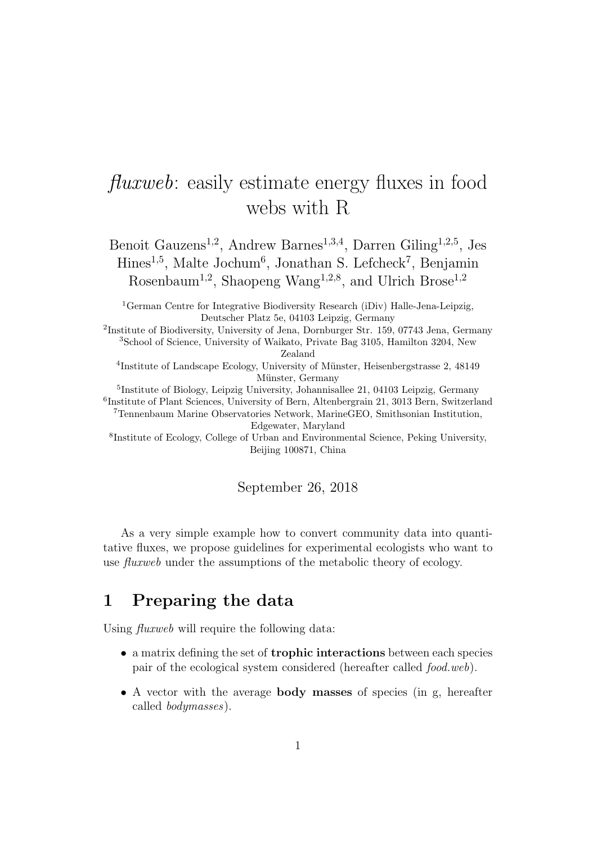# fluxweb: easily estimate energy fluxes in food webs with R

Benoit Gauzens<sup>1,2</sup>, Andrew Barnes<sup>1,3,4</sup>, Darren Giling<sup>1,2,5</sup>, Jes Hines<sup>1,5</sup>, Malte Jochum<sup>6</sup>, Jonathan S. Lefcheck<sup>7</sup>, Benjamin Rosenbaum<sup>1,2</sup>, Shaopeng Wang<sup>1,2,8</sup>, and Ulrich Brose<sup>1,2</sup>

<sup>1</sup>German Centre for Integrative Biodiversity Research (iDiv) Halle-Jena-Leipzig, Deutscher Platz 5e, 04103 Leipzig, Germany

2 Institute of Biodiversity, University of Jena, Dornburger Str. 159, 07743 Jena, Germany <sup>3</sup>School of Science, University of Waikato, Private Bag 3105, Hamilton 3204, New Zealand

<sup>4</sup>Institute of Landscape Ecology, University of Münster, Heisenbergstrasse 2, 48149 Münster, Germany

5 Institute of Biology, Leipzig University, Johannisallee 21, 04103 Leipzig, Germany 6 Institute of Plant Sciences, University of Bern, Altenbergrain 21, 3013 Bern, Switzerland <sup>7</sup>Tennenbaum Marine Observatories Network, MarineGEO, Smithsonian Institution,

Edgewater, Maryland

8 Institute of Ecology, College of Urban and Environmental Science, Peking University, Beijing 100871, China

September 26, 2018

As a very simple example how to convert community data into quantitative fluxes, we propose guidelines for experimental ecologists who want to use fluxweb under the assumptions of the metabolic theory of ecology.

## 1 Preparing the data

Using *fluxweb* will require the following data:

- a matrix defining the set of trophic interactions between each species pair of the ecological system considered (hereafter called food.web).
- A vector with the average body masses of species (in g, hereafter called bodymasses).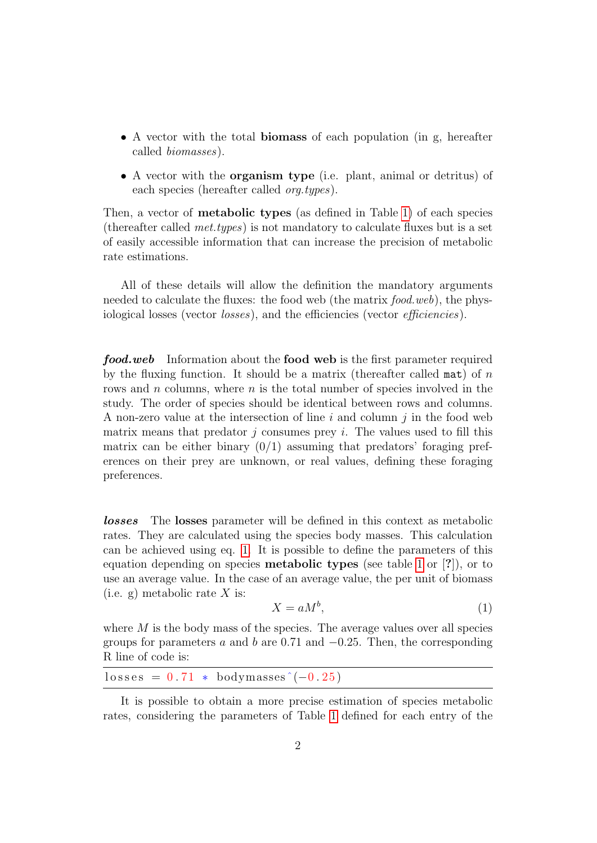- A vector with the total biomass of each population (in g, hereafter called biomasses).
- A vector with the organism type (i.e. plant, animal or detritus) of each species (hereafter called org.types).

Then, a vector of metabolic types (as defined in Table [1\)](#page-2-0) of each species (thereafter called met.types) is not mandatory to calculate fluxes but is a set of easily accessible information that can increase the precision of metabolic rate estimations.

All of these details will allow the definition the mandatory arguments needed to calculate the fluxes: the food web (the matrix food.web), the physiological losses (vector *losses*), and the efficiencies (vector *efficiencies*).

**food.web** Information about the **food web** is the first parameter required by the fluxing function. It should be a matrix (thereafter called  $\text{mat}$ ) of n rows and  $n$  columns, where  $n$  is the total number of species involved in the study. The order of species should be identical between rows and columns. A non-zero value at the intersection of line i and column  $j$  in the food web matrix means that predator  $j$  consumes prey  $i$ . The values used to fill this matrix can be either binary  $(0/1)$  assuming that predators' foraging preferences on their prey are unknown, or real values, defining these foraging preferences.

losses The losses parameter will be defined in this context as metabolic rates. They are calculated using the species body masses. This calculation can be achieved using eq. [1.](#page-1-0) It is possible to define the parameters of this equation depending on species metabolic types (see table [1](#page-2-0) or [?]), or to use an average value. In the case of an average value, the per unit of biomass (i.e. g) metabolic rate  $X$  is:

<span id="page-1-0"></span>
$$
X = aM^b,\tag{1}
$$

where  $M$  is the body mass of the species. The average values over all species groups for parameters a and b are 0.71 and  $-0.25$ . Then, the corresponding R line of code is:

|  | $losses = 0.71 * bodymasses^(-0.25)$ |  |
|--|--------------------------------------|--|
|--|--------------------------------------|--|

It is possible to obtain a more precise estimation of species metabolic rates, considering the parameters of Table [1](#page-2-0) defined for each entry of the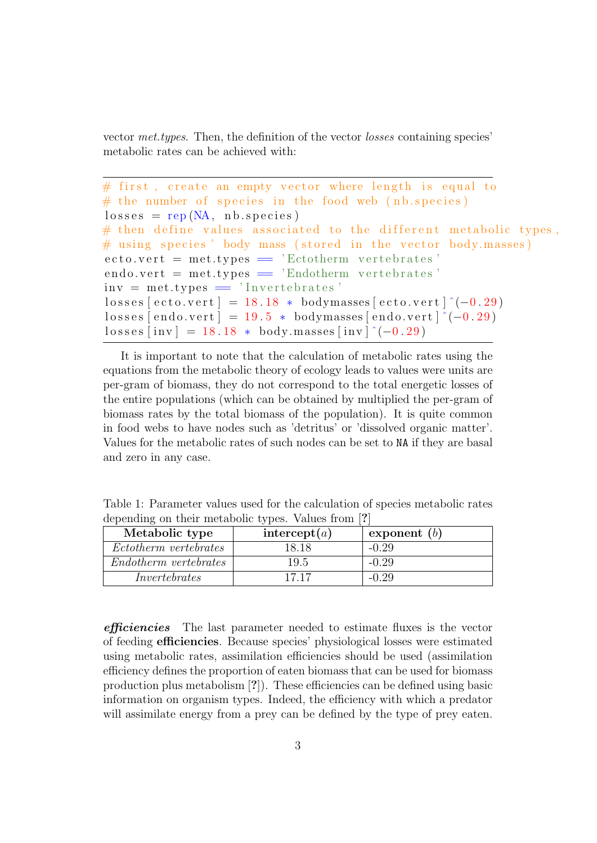vector met.types. Then, the definition of the vector losses containing species' metabolic rates can be achieved with:

```
# first, create an empty vector where length is equal to
# the number of species in the food web (nb.\text{species})
losses = rep(NA, nb.species)# then define values associated to the different metabolic types,
# using species ' body mass (stored in the vector body.masses)
\text{ecto.} \text{vert} = \text{met.} \text{type} s = \text{'} \text{Etotherm} vertebrates'
\alpha endo. vert = met. types = 'Endotherm vertebrates'
inv = met. types = 'Invertebrates'losses [ecto. vert] = 18.18 * bodymasses [ecto. vert] ^(-0.29)losses[endovert] = 19.5 * bodymasses[endovert] ^(-0.29)losses [inv] = 18.18 * body.masses [inv] \hat{(-0.29)}
```
It is important to note that the calculation of metabolic rates using the equations from the metabolic theory of ecology leads to values were units are per-gram of biomass, they do not correspond to the total energetic losses of the entire populations (which can be obtained by multiplied the per-gram of biomass rates by the total biomass of the population). It is quite common in food webs to have nodes such as 'detritus' or 'dissolved organic matter'. Values for the metabolic rates of such nodes can be set to NA if they are basal and zero in any case.

| $\alpha$ |                              |              |                |
|----------|------------------------------|--------------|----------------|
|          | Metabolic type               | intercept(a) | exponent $(b)$ |
|          | <i>Ectotherm vertebrates</i> | 18.18        | $-0.29$        |
|          | Endotherm vertebrates        | 19.5         | $-0.29$        |
|          | Invertebrates                | 17.17        | $-0.29$        |

<span id="page-2-0"></span>Table 1: Parameter values used for the calculation of species metabolic rates depending on their metabolic types. Values from [?]

efficiencies The last parameter needed to estimate fluxes is the vector of feeding efficiencies. Because species' physiological losses were estimated using metabolic rates, assimilation efficiencies should be used (assimilation efficiency defines the proportion of eaten biomass that can be used for biomass production plus metabolism [?]). These efficiencies can be defined using basic information on organism types. Indeed, the efficiency with which a predator will assimilate energy from a prey can be defined by the type of prey eaten.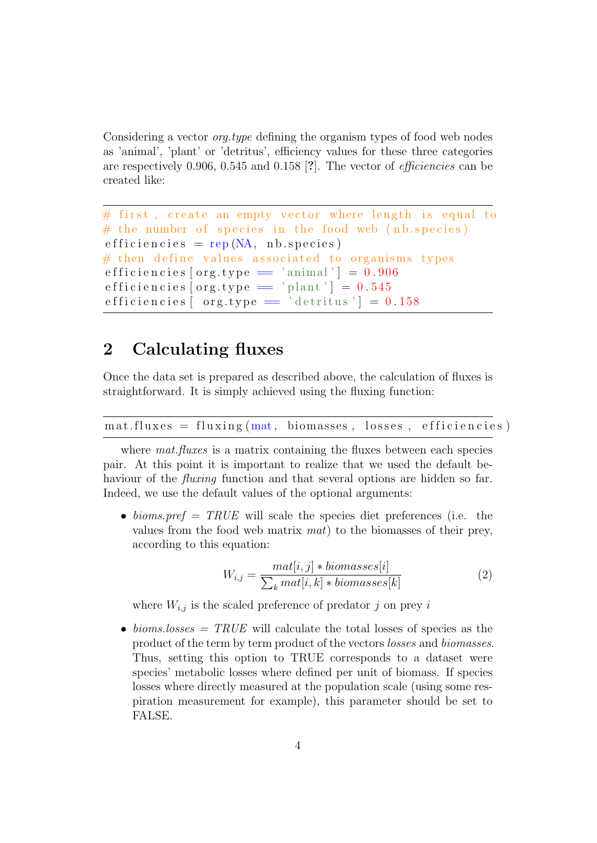Considering a vector *org.type* defining the organism types of food web nodes as 'animal', 'plant' or 'detritus', efficiency values for these three categories are respectively 0.906, 0.545 and 0.158 [?]. The vector of efficiencies can be created like:

```
# first, create an empty vector where length is equal to
# the number of species in the food web (nb.\text{species})
\text{eff} i c i e n c i e s = rep (NA, n b . s p e c i e s )
# then define values associated to organisms types
efficiencies [org-type = 'animal'] = 0.906efficiencies [org_type = 'plant'] = 0.545efficiencies \left[ org.type = 'detritus' \right] = 0.158
```
## 2 Calculating fluxes

Once the data set is prepared as described above, the calculation of fluxes is straightforward. It is simply achieved using the fluxing function:

 $\text{mat-fluxes} = \text{fluxing}(\text{mat}, \text{biomasses}, \text{losses}, \text{efficiencies})$ 

where *mat.fluxes* is a matrix containing the fluxes between each species pair. At this point it is important to realize that we used the default behaviour of the *fluxing* function and that several options are hidden so far. Indeed, we use the default values of the optional arguments:

• bioms. pref = TRUE will scale the species diet preferences (i.e. the values from the food web matrix mat) to the biomasses of their prey, according to this equation:

$$
W_{i,j} = \frac{mat[i,j] * biomasses[i]}{\sum_{k}mat[i,k] * biomasses[k]} \tag{2}
$$

where  $W_{i,j}$  is the scaled preference of predator j on prey i

• bioms. losses  $= TRUE$  will calculate the total losses of species as the product of the term by term product of the vectors losses and biomasses. Thus, setting this option to TRUE corresponds to a dataset were species' metabolic losses where defined per unit of biomass. If species losses where directly measured at the population scale (using some respiration measurement for example), this parameter should be set to FALSE.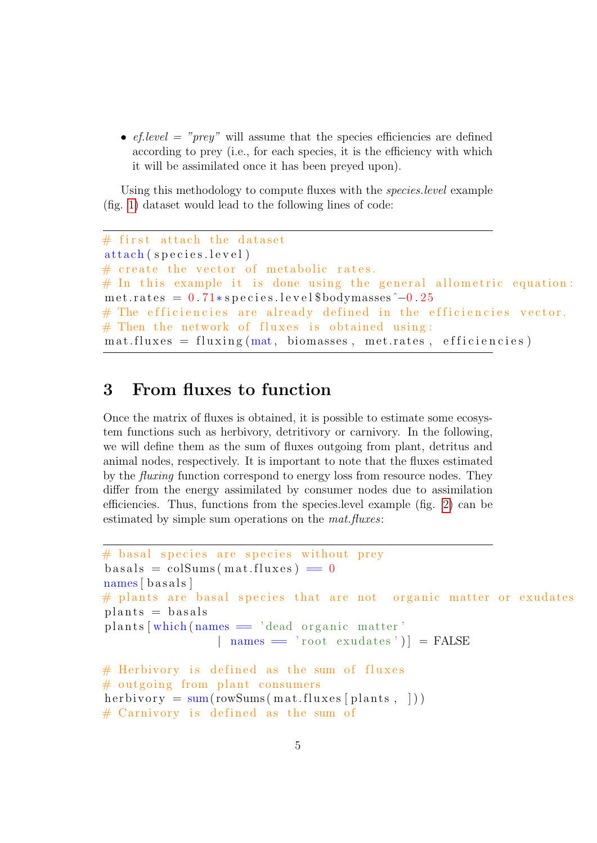•  $ef. level = "prev"$  will assume that the species efficiencies are defined according to prey (i.e., for each species, it is the efficiency with which it will be assimilated once it has been preyed upon).

Using this methodology to compute fluxes with the species.level example (fig. [1\)](#page-5-0) dataset would lead to the following lines of code:

```
# first attach the dataset
attach (species.level)
# create the vector of metabolic rates.
# In this example it is done using the general allometric equation:
met.rates = 0.71*species.level$bodymasses -0.25# The efficiencies are already defined in the efficiencies vector.
# Then the network of fluxes is obtained using:
\text{mat-fluxes} = \text{fluxing}(\text{mat}, \text{biomasses}, \text{metrates}, \text{efficiencies})
```
## 3 From fluxes to function

Once the matrix of fluxes is obtained, it is possible to estimate some ecosystem functions such as herbivory, detritivory or carnivory. In the following, we will define them as the sum of fluxes outgoing from plant, detritus and animal nodes, respectively. It is important to note that the fluxes estimated by the fluxing function correspond to energy loss from resource nodes. They differ from the energy assimilated by consumer nodes due to assimilation efficiencies. Thus, functions from the species.level example (fig. [2\)](#page-6-0) can be estimated by simple sum operations on the *mat.fluxes*:

```
# basal species are species without prey
basals = colSums(mat-fluxes) = 0names [basals]
# plants are basal species that are not organic matter or exudates
\text{plants} = \text{basals}\text{plants} [which (names = 'dead organic matter'
                  | names = 'root exudates') | = FALSE
# Herbivory is defined as the sum of fluxes
# outgoing from plant consumers
herbivory = \text{sum}(\text{rowSums}(\text{mat-fluxes}[\text{plants}, \cdot]))# Carnivory is defined as the sum of
```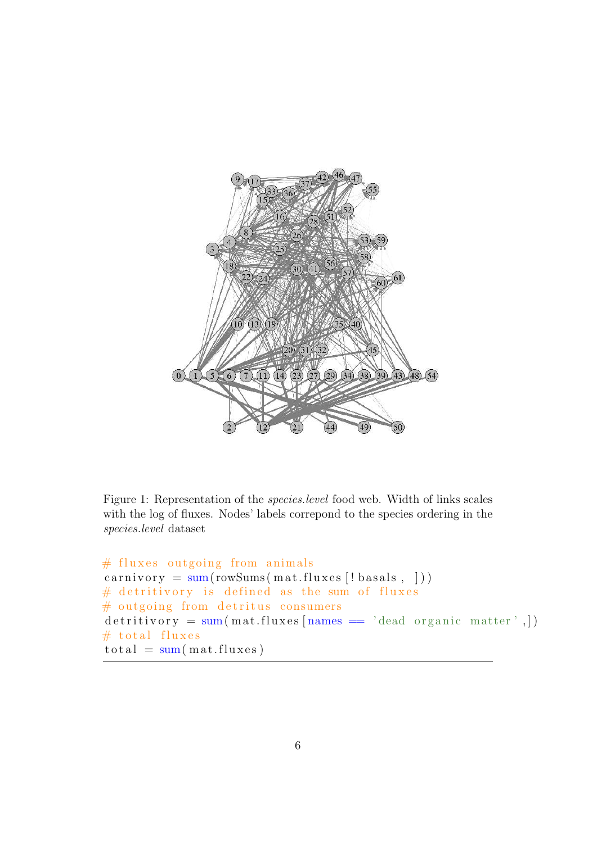

<span id="page-5-0"></span>Figure 1: Representation of the species.level food web. Width of links scales with the log of fluxes. Nodes' labels correpond to the species ordering in the species.level dataset

```
# fluxes outgoing from animals
carnivory = sum(rowSums(rast.fluxes('basals,')))# detritivory is defined as the sum of fluxes
# outgoing from detritus consumers
d et ritivory = sum (mat.fluxes [names = 'dead organic matter',])
# total fluxes
\text{total} = \text{sum}(\text{mat-fluxes})
```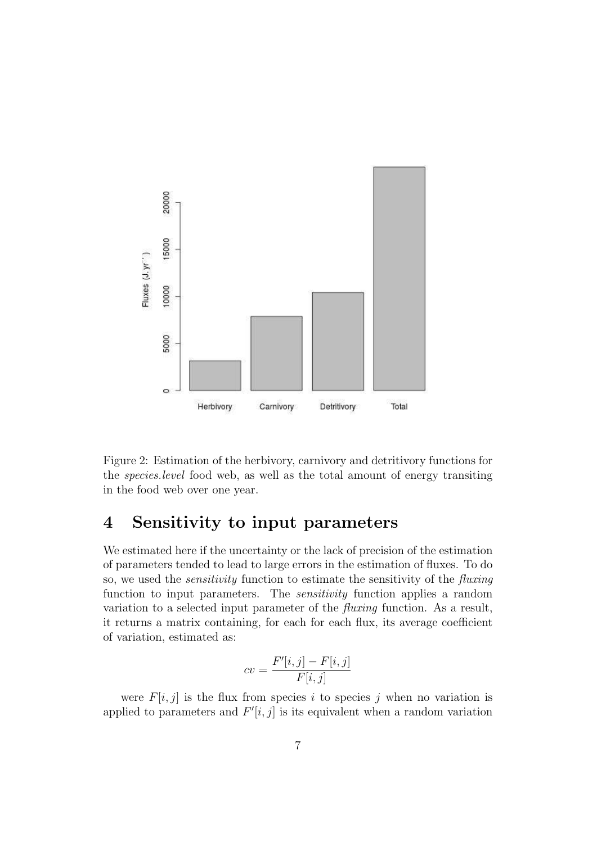

<span id="page-6-0"></span>Figure 2: Estimation of the herbivory, carnivory and detritivory functions for the species.level food web, as well as the total amount of energy transiting in the food web over one year.

### 4 Sensitivity to input parameters

We estimated here if the uncertainty or the lack of precision of the estimation of parameters tended to lead to large errors in the estimation of fluxes. To do so, we used the sensitivity function to estimate the sensitivity of the fluxing function to input parameters. The *sensitivity* function applies a random variation to a selected input parameter of the fluxing function. As a result, it returns a matrix containing, for each for each flux, its average coefficient of variation, estimated as:

$$
cv = \frac{F'[i,j] - F[i,j]}{F[i,j]}
$$

were  $F[i, j]$  is the flux from species i to species j when no variation is applied to parameters and  $F'[i, j]$  is its equivalent when a random variation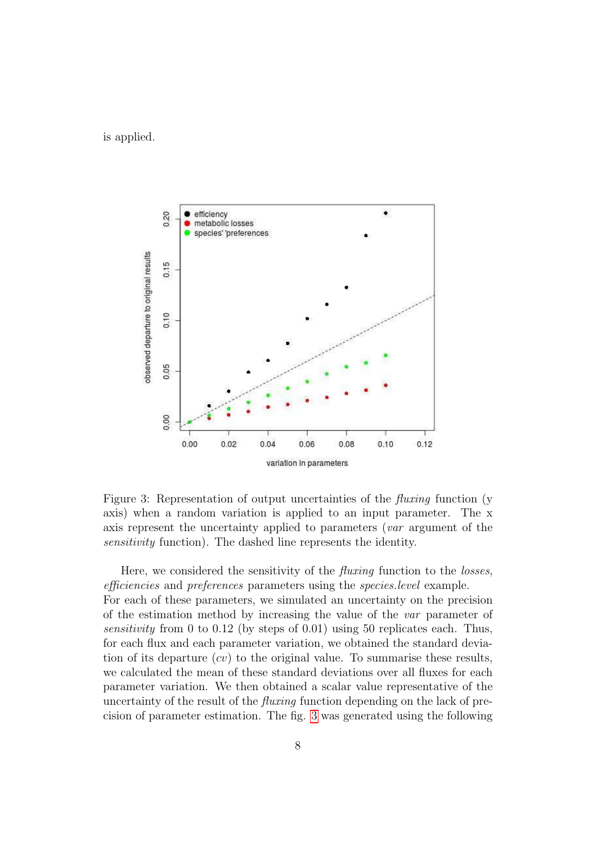is applied.



<span id="page-7-0"></span>Figure 3: Representation of output uncertainties of the *fluxing* function (y axis) when a random variation is applied to an input parameter. The x axis represent the uncertainty applied to parameters (var argument of the sensitivity function). The dashed line represents the identity.

Here, we considered the sensitivity of the *fluxing* function to the *losses*, efficiencies and preferences parameters using the species.level example. For each of these parameters, we simulated an uncertainty on the precision of the estimation method by increasing the value of the var parameter of sensitivity from 0 to 0.12 (by steps of 0.01) using 50 replicates each. Thus, for each flux and each parameter variation, we obtained the standard deviation of its departure  $(cv)$  to the original value. To summarise these results, we calculated the mean of these standard deviations over all fluxes for each parameter variation. We then obtained a scalar value representative of the uncertainty of the result of the fluxing function depending on the lack of precision of parameter estimation. The fig. [3](#page-7-0) was generated using the following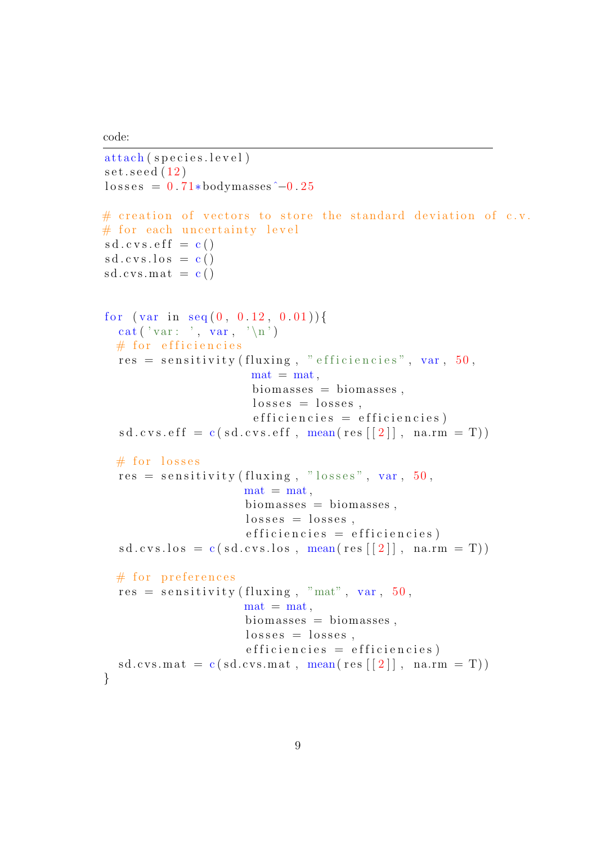code:

```
attach (species.level)
set . <math>seed (12)losses = 0.71 * bodymasses \hat{i} - 0.25# creation of vectors to store the standard deviation of c.v.
# for each uncertainty level
sd. c vs. eff = c()sd. c vs. los = c()sd. cvs.mat = c()for (var in seq (0, 0.12, 0.01)) {
  cat ('var: ', var, '\n')
  # for efficiencies
  res = sensitivity (fluxing, "efficiencies", var, 50,\text{mat} = \text{mat},
                       biomasses = biomasses,losses = losses,efficiency = efficiencysd.cvs.eff = c(sd.cvs.eff, mean(res [2]], na.rm = T))
  # for losses
  res = sensitivity (fluxing, "losses", var, 50,\text{mat} = \text{mat}.
                      biomasses = biomasses,losses = losses,efficiency = efficiency)sd.cvs. los = c ( sd.cvs. los , mean(res[[2]], na.rm = T))# for preferences
  res = sensitivity (fluxing, "mat", var, 50, ...)\text{mat} = \text{mat},
                      biomasses = biomasses,losses = losses,efficiency = efficiency)sd.cvs.math = c ( sd.cvs.math, mean(res[[2]], nan.m = T))}
```